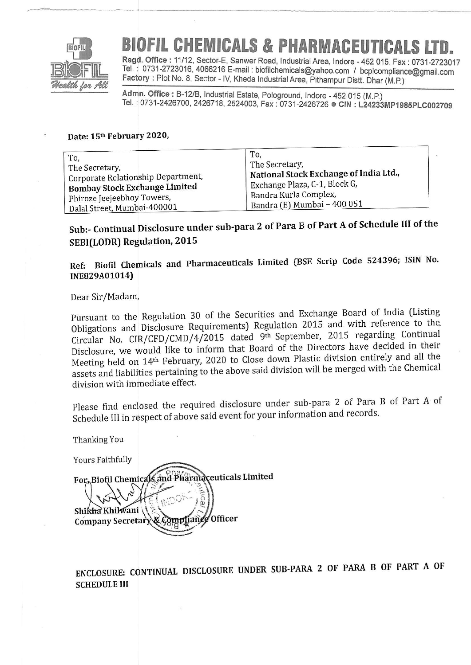

# **ICALS & PHARMACEUT**

Regd. Office : 11/12, Sector-E, Sanwer Road, Industrial Area, Indore - 452 015. Fax : 0731-2723017 rel. . 0731-2723016, 4066216 E-mait : biofilchemicals@yahoo.com / bcplcompliance@gmail.com Factory : Plot No. 8, Sector - IV, Kheda Industrial Area, Pithampur Distt. Dhar (M.P.)

Admn. Office : B-12/B, Industrial Estate, Pologround, Indore - 452 015 (M.P.) Tel.: 0731-2426700, 2426718, 2524003, Fax: 0731-2426726 CIN: L24233MP1985PLC002709

#### Date: 15th February 2020,

| To,                                  | To,                                    |
|--------------------------------------|----------------------------------------|
| The Secretary,                       | The Secretary,                         |
| Corporate Relationship Department,   | National Stock Exchange of India Ltd., |
| <b>Bombay Stock Exchange Limited</b> | Exchange Plaza, C-1, Block G,          |
| Phiroze Jeejeebhoy Towers,           | Bandra Kurla Complex,                  |
| Dalal Street, Mumbai-400001          | Bandra (E) Mumbai - 400 051            |

## sub:- continual Disclosure under sub-para2 of Para B of Part A of schedule III of the SEBI(LODR) Regulation, 2015

Ref: Biofil Chemicals and Pharmaceuticals Limited (BSE Scrip Code 524396; ISIN No. INE829A01014)

#### Dear Sir/Madam,

"aur.

Pursuant to the Regulation 30 of the Securities and Exchange Board of India (Listing Obligations and Disclosure Requirements) Regulation 2015 and with reference to the Circular No. CIR/CFD/CMD/4/2015 dated 9th September, 2015 regarding Continual Disclosure, we would like to inform that Board of the Directors have decided in their Meeting held on 14<sup>th</sup> February, 2020 to Close down Plastic division entirely and all the assets and liabilities pertaining to the above said division will be merged with the Chemical division with immediate effect.

Please find enclosed the required disclosure under sub-para 2 of Para B of Part A of Sch III in respect of above said event for your infotmation and records.

Thanking You Yours Faithfully For Biofil Chemicals and Pharmaceuticals Limited ra Shikha Khilwani & Complianee Officer Company Secretary

ENCLOSURE: CONTINUAL DISCLOSURE UNDER SUB-PARA 2 OF PARA B OF PART A OFSCHEDULE III